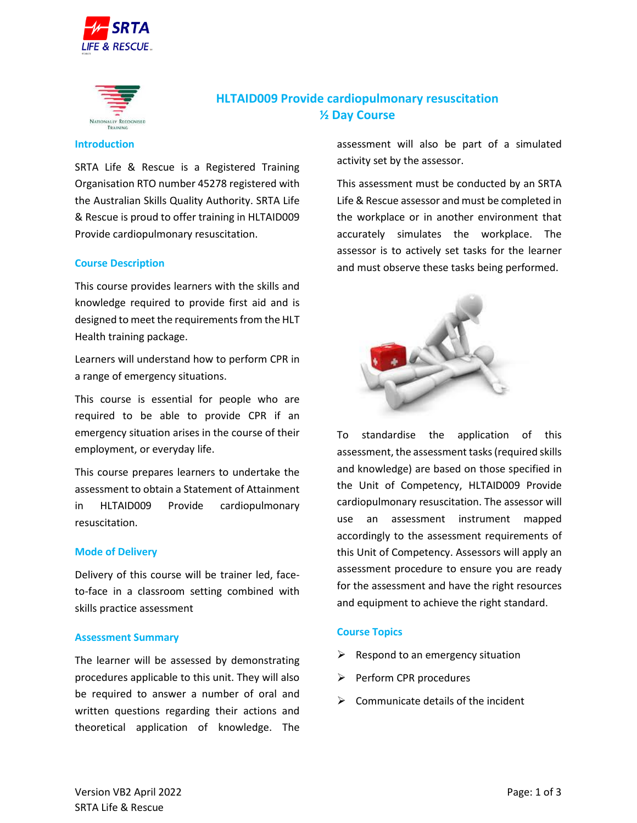



# **HLTAID009 Provide cardiopulmonary resuscitation ½ Day Course**

#### **Introduction**

SRTA Life & Rescue is a Registered Training Organisation RTO number 45278 registered with the Australian Skills Quality Authority. SRTA Life & Rescue is proud to offer training in HLTAID009 Provide cardiopulmonary resuscitation.

#### **Course Description**

This course provides learners with the skills and knowledge required to provide first aid and is designed to meet the requirements from the HLT Health training package.

Learners will understand how to perform CPR in a range of emergency situations.

This course is essential for people who are required to be able to provide CPR if an emergency situation arises in the course of their employment, or everyday life.

This course prepares learners to undertake the assessment to obtain a Statement of Attainment in HLTAID009 Provide cardiopulmonary resuscitation.

#### **Mode of Delivery**

Delivery of this course will be trainer led, faceto-face in a classroom setting combined with skills practice assessment

#### **Assessment Summary**

The learner will be assessed by demonstrating procedures applicable to this unit. They will also be required to answer a number of oral and written questions regarding their actions and theoretical application of knowledge. The

assessment will also be part of a simulated activity set by the assessor.

This assessment must be conducted by an SRTA Life & Rescue assessor and must be completed in the workplace or in another environment that accurately simulates the workplace. The assessor is to actively set tasks for the learner and must observe these tasks being performed.



To standardise the application of this assessment, the assessment tasks (required skills and knowledge) are based on those specified in the Unit of Competency, HLTAID009 Provide cardiopulmonary resuscitation. The assessor will use an assessment instrument mapped accordingly to the assessment requirements of this Unit of Competency. Assessors will apply an assessment procedure to ensure you are ready for the assessment and have the right resources and equipment to achieve the right standard.

## **Course Topics**

- $\triangleright$  Respond to an emergency situation
- ➢ Perform CPR procedures
- $\triangleright$  Communicate details of the incident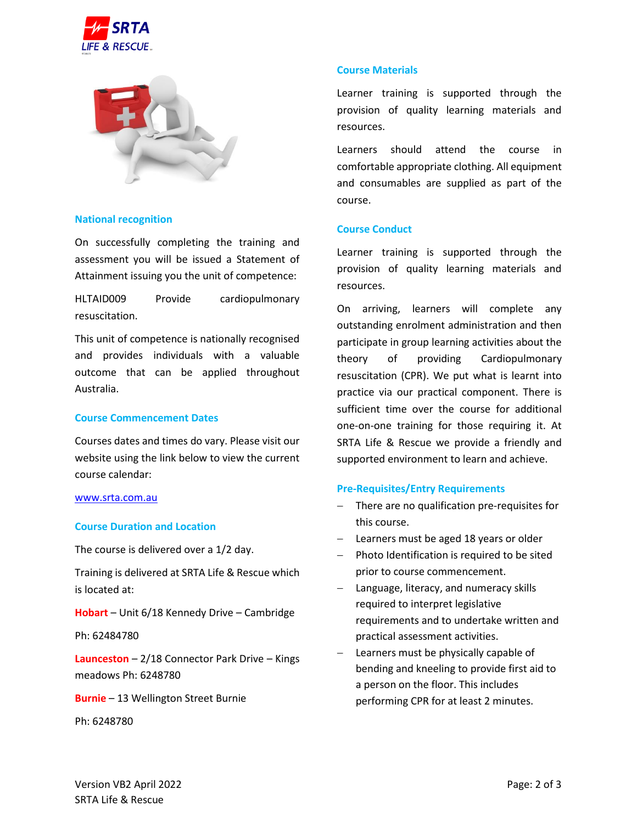



## **National recognition**

On successfully completing the training and assessment you will be issued a Statement of Attainment issuing you the unit of competence:

HLTAID009 Provide cardiopulmonary resuscitation.

This unit of competence is nationally recognised and provides individuals with a valuable outcome that can be applied throughout Australia.

#### **Course Commencement Dates**

Courses dates and times do vary. Please visit our website using the link below to view the current course calendar:

#### [www.srta.com.au](http://www.srta.com.au/)

#### **Course Duration and Location**

The course is delivered over a 1/2 day.

Training is delivered at SRTA Life & Rescue which is located at:

**Hobart** – Unit 6/18 Kennedy Drive – Cambridge

Ph: 62484780

**Launceston** – 2/18 Connector Park Drive – Kings meadows Ph: 6248780

**Burnie** – 13 Wellington Street Burnie

Ph: 6248780

## **Course Materials**

Learner training is supported through the provision of quality learning materials and resources.

Learners should attend the course in comfortable appropriate clothing. All equipment and consumables are supplied as part of the course.

# **Course Conduct**

Learner training is supported through the provision of quality learning materials and resources.

On arriving, learners will complete any outstanding enrolment administration and then participate in group learning activities about the theory of providing Cardiopulmonary resuscitation (CPR). We put what is learnt into practice via our practical component. There is sufficient time over the course for additional one-on-one training for those requiring it. At SRTA Life & Rescue we provide a friendly and supported environment to learn and achieve.

#### **Pre-Requisites/Entry Requirements**

- There are no qualification pre-requisites for this course.
- Learners must be aged 18 years or older
- Photo Identification is required to be sited prior to course commencement.
- Language, literacy, and numeracy skills required to interpret legislative requirements and to undertake written and practical assessment activities.
- Learners must be physically capable of bending and kneeling to provide first aid to a person on the floor. This includes performing CPR for at least 2 minutes.